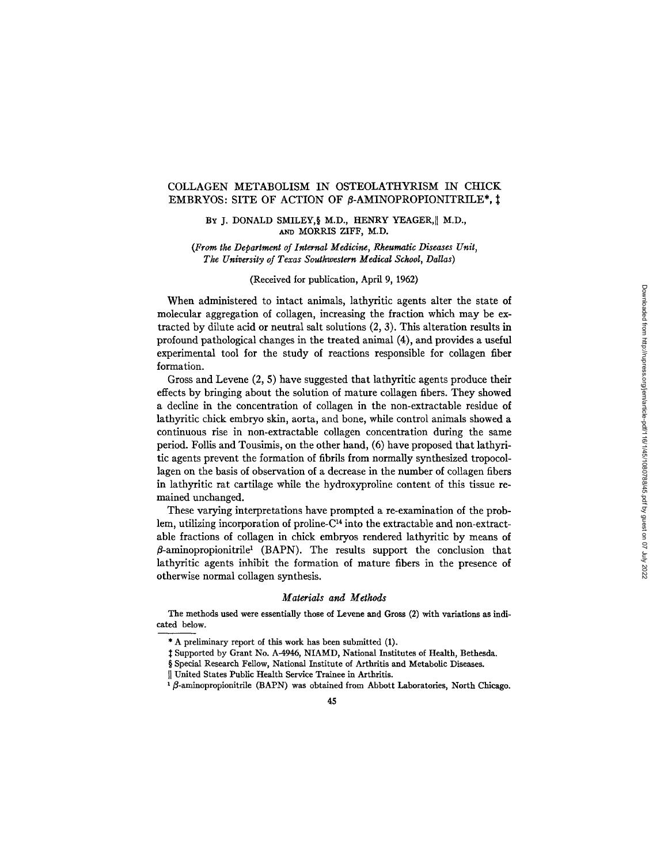# COLLAGEN METABOLISM IN OSTEOLATHYRISM IN CHICK EMBRYOS: SITE OF ACTION OF  $\beta$ -AMINOPROPIONITRILE\*,  $\ddagger$

### BY J. DONALD SMILEY, § M.D., HENRY YEAGER, | M.D., AND MORRIS ZIFF, M.D.

*(From the Department of Internal Medicine, Rheumatic Diseases Unit, The University of Texas Southwestern Medical School, Dallas)* 

### (Received for publication, April 9, 1962)

When administered to intact animals, lathyritic agents alter the state of molecular aggregation of collagen, increasing the fraction which may be extracted by dilute acid or neutral salt solutions (2, 3). This alteration results in profound pathological changes in the treated animal (4), and provides a useful experimental tool for the study of reactions responsible for collagen fiber formation.

Gross and Levene (2, 5) have suggested that lathyritic agents produce their effects by bringing about the solution of mature collagen fibers. They showed a decline in the concentration of collagen in the non-extractable residue of lathyritic chick embryo skin, aorta, and bone, while control animals showed a continuous rise in non-extractable collagen concentration during the same period. Follis and Tousimis, on the other hand, (6) have proposed that lathyritic agents prevent the formation of fibrils from normally synthesized tropocollagen on the basis of observation of a decrease in the number of collagen fibers in lathyritic rat cartilage while the hydroxyproline content of this tissue remained unchanged.

These varying interpretations have prompted a re-examination of the problem, utilizing incorporation of proline- $C<sup>14</sup>$  into the extractable and non-extractable fractions of collagen in chick embryos rendered lathyritic by means of  $\beta$ -aminopropionitrile<sup>1</sup> (BAPN). The results support the conclusion that lathyritic agents inhibit the formation of mature fibers in the presence of otherwise normal collagen synthesis.

#### *Materials and Methods*

The methods used were essentially those of Levene and Gross (2) with variations as indicated below.

<sup>\*</sup> A preliminary report of this work has been submitted (1).

 $\ddagger$  Supported by Grant No. A-4946, NIAMD, National Institutes of Health, Bethesda.

<sup>§</sup> Special Research Fellow, National Institute of Arthritis and Metabolic Diseases.

II United States Public Health Service Trainee in Arthritis.

 $1\beta$ -aminopropionitrile (BAPN) was obtained from Abbott Laboratories, North Chicago.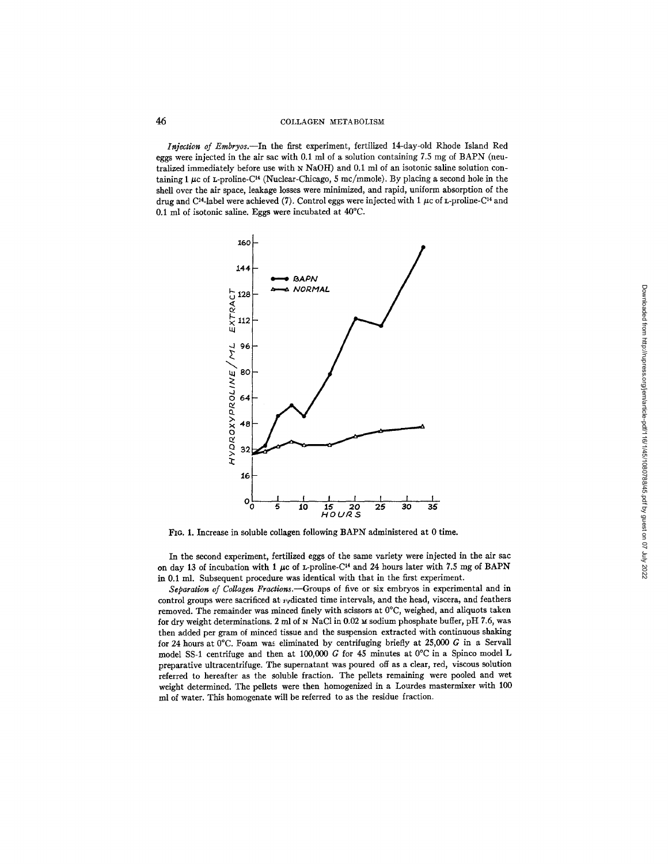*Injection of Embryos.--in* the first experiment, fertilized 14-day-old Rhode Island Red eggs were injected in the air sac with 0.1 ml of a solution containing 7.5 mg of BAPN (neutralized immediately before use with N NaOH) and 0.1 ml of an isotonic saline solution containing 1  $\mu$ c of L-proline-C<sup>14</sup> (Nuclear-Chicago, 5 mc/mmole). By placing a second hole in the shell over the air space, leakage losses were minimized, and rapid, uniform absorption of the drug and C<sup>14</sup>-label were achieved (7). Control eggs were injected with 1  $\mu$ c of L-proline-C<sup>14</sup> and 0.1 ml of isotonic saline. Eggs were incubated at 40°C.



FIG. 1. Increase in soluble collagen following BAPN administered at 0 time.

In the second experiment, fertilized eggs of the same variety were injected in the air sac on day 13 of incubation with 1  $\mu$ c of L-proline-C<sup>14</sup> and 24 hours later with 7.5 mg of BAPN in 0.1 ml. Subsequent procedure was identical with that in the first experiment.

Separation of Collagen Fractions.--Groups of five or six embryos in experimental and in control groups were sacrificed at  $x$ <sub>V</sub>dicated time intervals, and the head, viscera, and feathers removed. The remainder was minced finely with scissors at 0°C, weighed, and aliquots taken for dry weight determinations. 2 ml of  $N$  NaCl in 0.02  $\mu$  sodium phosphate buffer, pH 7.6, was then added per gram of minced tissue and the suspension extracted with continuous shaking for 24 hours at 0°C. Foam was eliminated by centrifuging briefly at 25,000 G in a Servall model SS-1 centrifuge and then at 100,000 G for 45 minutes at  $0^{\circ}$ C in a Spinco model L preparative ultracentrifuge. The supernatant was poured off as a clear, red, viscous solution referred to hereafter as the soluble fraction. The pellets remaining were pooled and wet weight determined. The pellets were then homogenized in a Lourdes mastermixer with 100 ml of water. This homogenate will be referred to as the residue fraction.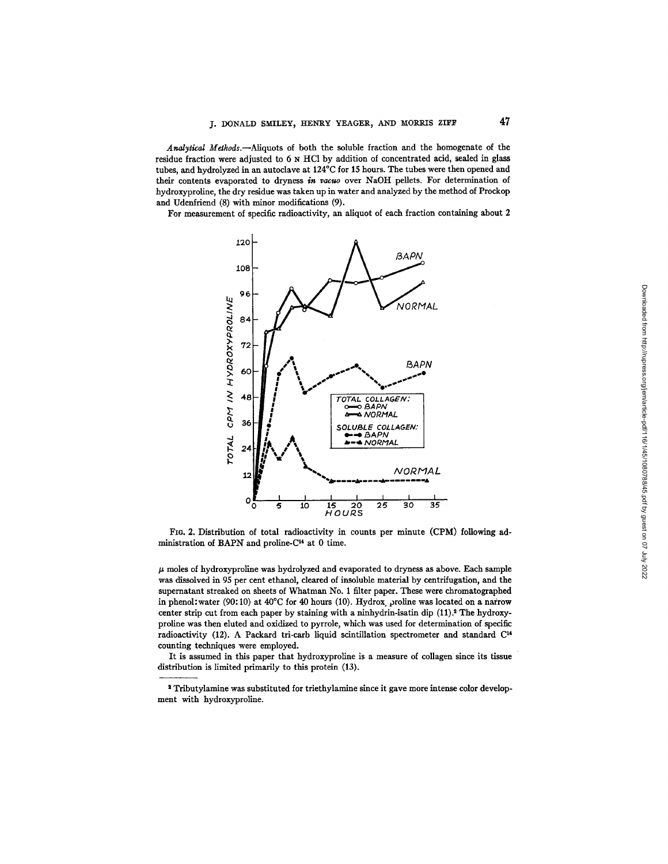*Analytical Methods.--Aliquots* of both the soluble fraction and the homogenate of the residue fraction were adjusted to 6 N HC1 by addition of concentrated acid, sealed in glass tubes, and hydrolyzed in an autoclave at 124°C for 15 hours. The tubes were then opened and their contents evaporated to dryness *in vacuo* over NaOH pellets. For determination of hydroxyproline, the dry residue was taken up in water and analyzed by the method of Prockop and Udenfriend (8) with minor modifications (9).

For measurement of specific radioactivity, an aliquot of each fraction containing about 2



FIG. 2. Distribution of total radioactivity in counts per minute (CPM) following administration of BAPN and proline-C<sup>14</sup> at 0 time.

 $\mu$  moles of hydroxyproline was hydrolyzed and evaporated to dryness as above. Each sample was dissolved in 95 per cent ethanol, cleared of insoluble material by centrifugation, and the supernatant streaked on sheets of Whatman No. 1 filter paper. These were chromatographed in phenol: water (90:10) at  $40^{\circ}$ C for 40 hours (10). Hydrox proline was located on a narrow center strip cut from each paper by staining with a ninhydrin-isatin dip (11).<sup>2</sup> The hydroxyproline was then eluted and oxidized to pyrrole, which was used for determination of specific radioactivity (12). A Packard tri-carb liquid scintillation spectrometer and standard  $C<sup>14</sup>$ counting techniques were employed.

It is assumed in this paper that hydroxyproline is a measure of collagen since its tissue distribution is limited primarily to this protein (13).

s Tributylamine was substituted for triethylamine since it gave more intense color development with hydroxyproline.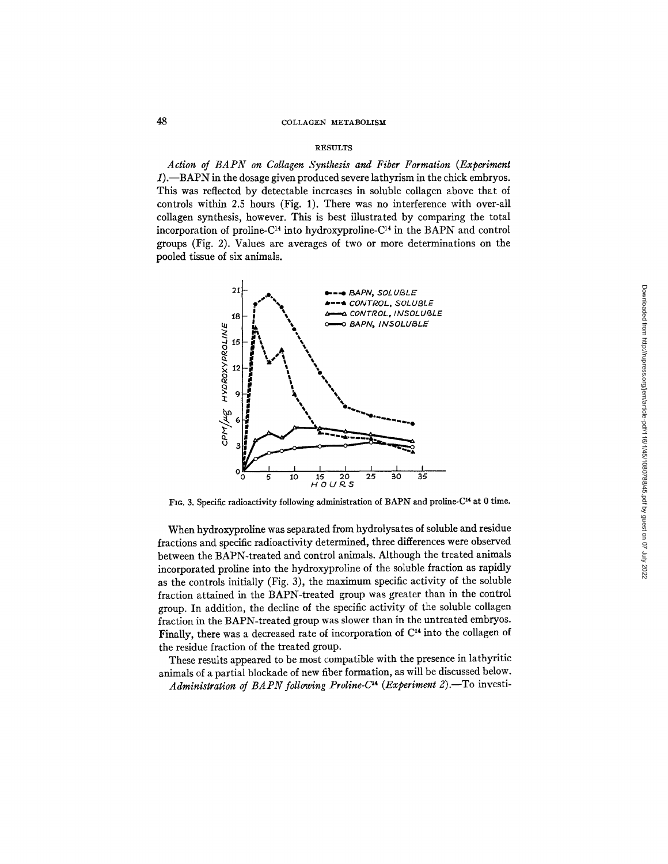### RESULTS

*Action of BAPN on Collagen Synthesis and Fiber Formation (Experiment*   $1$ .—BAPN in the dosage given produced severe lathyrism in the chick embryos. This was reflected by detectable increases in soluble collagen above that of controls within 2.5 hours (Fig. 1). There was no interference with over-all collagen synthesis, however. This is best illustrated by comparing the total incorporation of proline- $C<sup>14</sup>$  into hydroxyproline- $C<sup>14</sup>$  in the BAPN and control groups (Fig. 2). Values are averages of two or more determinations on the pooled tissue of six animals.



FIG. 3. Specific radioactivity following administration of BAPN and proline-C<sup>14</sup> at 0 time.

When hydroxyproline was separated from hydrolysates of soluble and residue fractions and specific radioactivity determined, three differences were observed between the BAPN-treated and control animals. Although the treated animals incorporated proline into the hydroxyproline of the soluble fraction as rapidly as the controls initially (Fig. 3), the maximum specific activity of the soluble fraction attained in the BAPN-treated group was greater than in the control group. In addition, the decline of the specific activity of the soluble collagen fraction in the BAPN-treated group was slower than in the untreated embryos. Finally, there was a decreased rate of incorporation of  $C<sup>14</sup>$  into the collagen of the residue fraction of the treated group.

These results appeared to be most compatible with the presence in lathyritic animals of a partial blockade of new fiber formation, as will be discussed below. *Administration of BAPN following Proline-C<sup>14</sup> (Experiment 2).*-To investi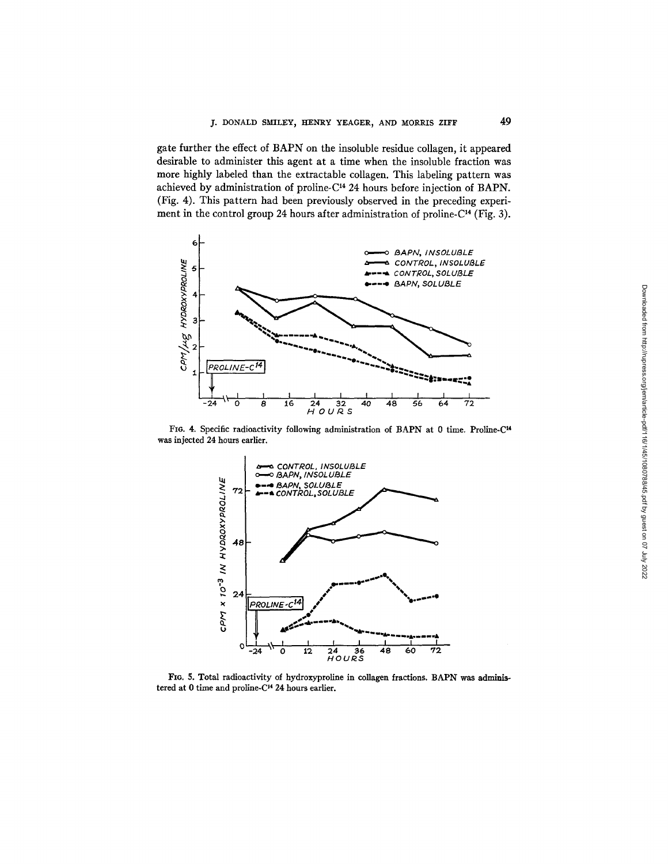gate further the effect of BAPN on the insoluble residue collagen, it appeared desirable to administer this agent at a time when the insoluble fraction was more highly labeled than the extractable collagen. This labeling pattern was achieved by administration of proline-C<sup>14</sup> 24 hours before injection of BAPN. (Fig. 4). This pattern had been previously observed in the preceding experiment in the control group 24 hours after administration of proline- $C<sup>14</sup>$  (Fig. 3).



FIG. 4. Specific radioactivity following administration of BAPN at 0 time. Proline-C<sup>14</sup> was injected 24 hours earlier.



FIG. 5. Total radioactivity of hydroxyproline in collagen fractions. BAPN was administered at 0 time and proline-C<sup>14</sup> 24 hours earlier.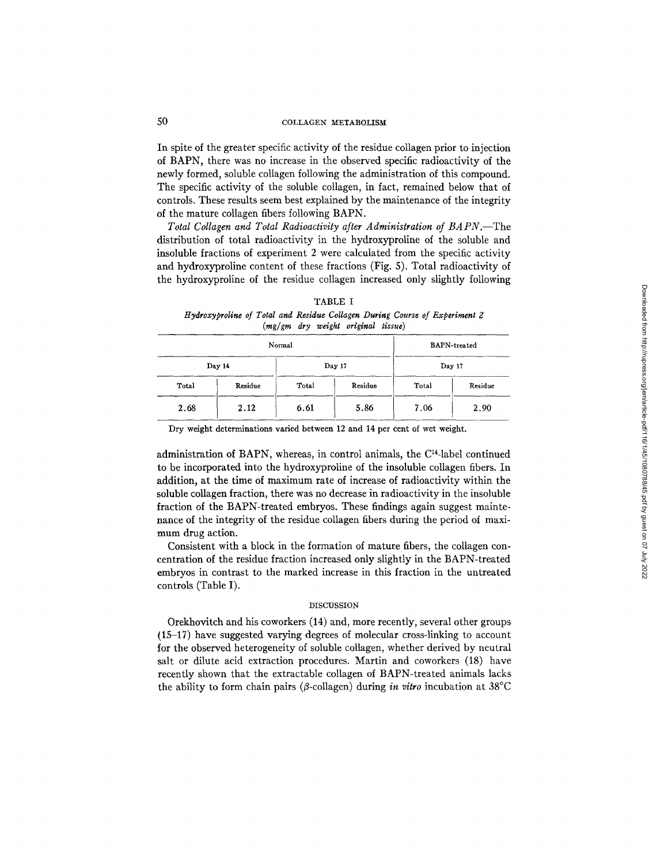In spite of the greater specific activity of the residue collagen prior to injection of BAPN, there was no increase in the observed specific radioactivity of the newly formed, soluble collagen following the administration of this compound. The specific activity of the soluble collagen, in fact, remained below that of controls. These results seem best explained by the maintenance of the integrity of the mature collagen fibers following BAPN.

*Total Collagen and Total Radioactivity after Administration of BAPN.--The*  distribution of total radioactivity in the hydroxyproline of the soluble and insoluble fractions of experiment 2 were calculated from the specific activity and hydroxyproline content of these fractions (Fig. 5). Total radioactivity of the hydroxyproline of the residue collagen increased only slightly following

| TABLE I                                                                    |  |  |  |  |                                    |  |  |  |  |  |  |
|----------------------------------------------------------------------------|--|--|--|--|------------------------------------|--|--|--|--|--|--|
| Hydroxyproline of Total and Residue Collagen During Course of Experiment 2 |  |  |  |  |                                    |  |  |  |  |  |  |
|                                                                            |  |  |  |  | (mg/gm dry weight original tissue) |  |  |  |  |  |  |

|       | Normal  | <b>BAPN-treated</b> |         |        |         |  |
|-------|---------|---------------------|---------|--------|---------|--|
|       | Day 14  |                     | Day 17  | Day 17 |         |  |
| Total | Residue | Total               | Residue | Total  | Residue |  |
| 2.68  | 2.12    | 6.61                | 5.86    | 7.06   | 2.90    |  |

Dry weight determinations varied between 12 and 14 per cent of wet weight.

administration of BAPN, whereas, in control animals, the C14-1abel continued to be incorporated into the hydroxyproline of the insoluble collagen fibers. In addition, at the time of maximum rate of increase of radioactivity within the soluble collagen fraction, there was no decrease in radioactivity in the insoluble fraction of the BAPN-treated embryos. These findings again suggest maintenance of the integrity of the residue collagen fibers during the period of maximum drug action.

Consistent with a block in the formation of mature fibers, the collagen concentration of the residue fraction increased only slightly in the BAPN-treated embryos in contrast to the marked increase in this fraction in the untreated controls (Table I).

### DISCUSSION

Orekhovitch and his coworkers (14) and, more recently, several other groups (15-17) have suggested varying degrees of molecular cross-linking to account for the observed heterogeneity of soluble collagen, whether derived by neutral salt or dilute acid extraction procedures. Martin and coworkers (18) have recently shown that the extractable collagen of BAPN-treated animals lacks the ability to form chain pairs ( $\beta$ -collagen) during *in vitro* incubation at 38°C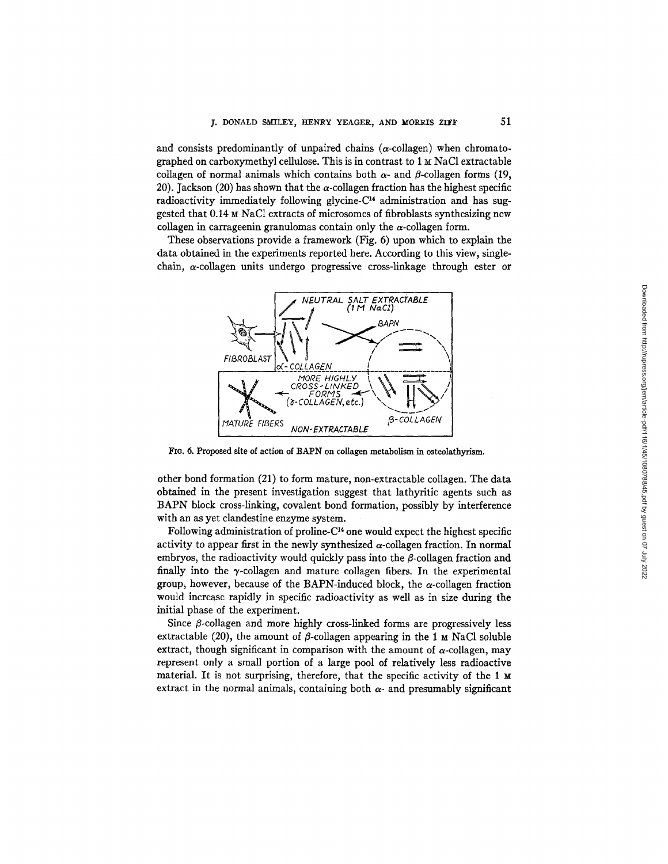and consists predominantly of unpaired chains  $(\alpha$ -collagen) when chromatographed on carboxymethyl cellulose. This is in contrast to 1 M NaC1 extractable collagen of normal animals which contains both  $\alpha$ - and  $\beta$ -collagen forms (19, 20). Jackson (20) has shown that the  $\alpha$ -collagen fraction has the highest specific radioactivity immediately following glycine- $C<sup>14</sup>$  administration and has suggested that 0.14 M NaC1 extracts of microsomes of fibroblasts synthesizing new collagen in carrageenin granulomas contain only the  $\alpha$ -collagen form.

These observations provide a framework (Fig. 6) upon which to explain the data obtained in the experiments reported here. According to this view, singlechain,  $\alpha$ -collagen units undergo progressive cross-linkage through ester or



FIG. 6. Proposed site of action of BAPN on collagen metabolism in osteolathyrism.

other bond formation (21) to form mature, non-extractable collagen. The data obtained in the present investigation suggest that lathyritic agents such as BAPN block cross-linking, covalent bond formation, possibly by interference with an as yet clandestine enzyme system.

Following administration of proline- $C<sup>14</sup>$  one would expect the highest specific activity to appear first in the newly synthesized  $\alpha$ -collagen fraction. In normal embryos, the radioactivity would quickly pass into the  $\beta$ -collagen fraction and finally into the  $\gamma$ -collagen and mature collagen fibers. In the experimental group, however, because of the BAPN-induced block, the  $\alpha$ -collagen fraction would increase rapidly in specific radioactivity as well as in size during the initial phase of the experiment.

Since  $\beta$ -collagen and more highly cross-linked forms are progressively less extractable (20), the amount of  $\beta$ -collagen appearing in the 1 M NaCl soluble extract, though significant in comparison with the amount of  $\alpha$ -collagen, may represent only a small portion of a large pool of relatively less radioactive material. It is not surprising, therefore, that the specific activity of the 1 M extract in the normal animals, containing both  $\alpha$ - and presumably significant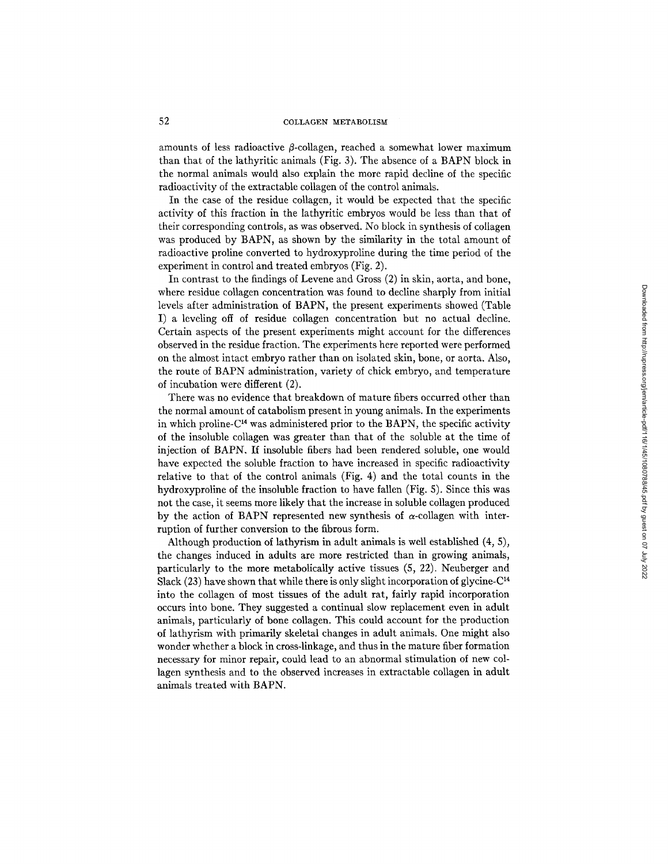amounts of less radioactive  $\beta$ -collagen, reached a somewhat lower maximum than that of the lathyritic animals (Fig. 3). The absence of a BAPN block in the normal animals would also explain the more rapid decline of the specific radioactivity of the extractable collagen of the control animals.

In the case of the residue collagen, it would be expected that the specific activity of this fraction in the lathyritic embryos would be less than that of their corresponding controls, as was observed. No block in synthesis of collagen was produced by BAPN, as shown by the similarity in the total amount of radioactive proline converted to hydroxyproline during the time period of the experiment in control and treated embryos (Fig. 2).

In contrast to the findings of Levene and Gross (2) in skin, aorta, and bone, where residue collagen concentration was found to decline sharply from initial levels after administration of BAPN, the present experiments showed (Table I) a leveling off of residue collagen concentration but no actual decline. Certain aspects of the present experiments might account for the differences observed in the residue fraction. The experiments here reported were performed on the almost intact embryo rather than on isolated skin, bone, or aorta. Also, the route of BAPN administration, variety of chick embryo, and temperature of incubation were different (2).

There was no evidence that breakdown of mature fibers occurred other than the normal amount of catabolism present in young animals. In the experiments in which proline- $C<sup>14</sup>$  was administered prior to the BAPN, the specific activity of the insoluble collagen was greater than that of the soluble at the time of injection of BAPN. If insoluble fibers had been rendered soluble, one would have expected the soluble fraction to have increased in specific radioactivity relative to that of the control animals (Fig. 4) and the total counts in the hydroxyproline of the insoluble fraction to have fallen (Fig. 5). Since this was not the case, it seems more likely that the increase in soluble collagen produced by the action of BAPN represented new synthesis of  $\alpha$ -collagen with interruption of further conversion to the fibrous form.

Although production of lathyrism in adult animals is well established (4, 5), the changes induced in adults are more restricted than in growing animals, particularly to the more metabolically active tissues (5, 22). Neuberger and Slack (23) have shown that while there is only slight incorporation of glycine- $C<sup>14</sup>$ into the collagen of most tissues of the adult rat, fairly rapid incorporation occurs into bone. They suggested a continual slow replacement even in adult animals, particularly of bone collagen. This could account for the production of lathyrism with primarily skeletal changes in adult animals. One might also wonder whether a block in cross-linkage, and thus in the mature fiber formation necessary for minor repair, could lead to an abnormal stimulation of new collagen synthesis and to the observed increases in extractable collagen in adult animals treated with BAPN.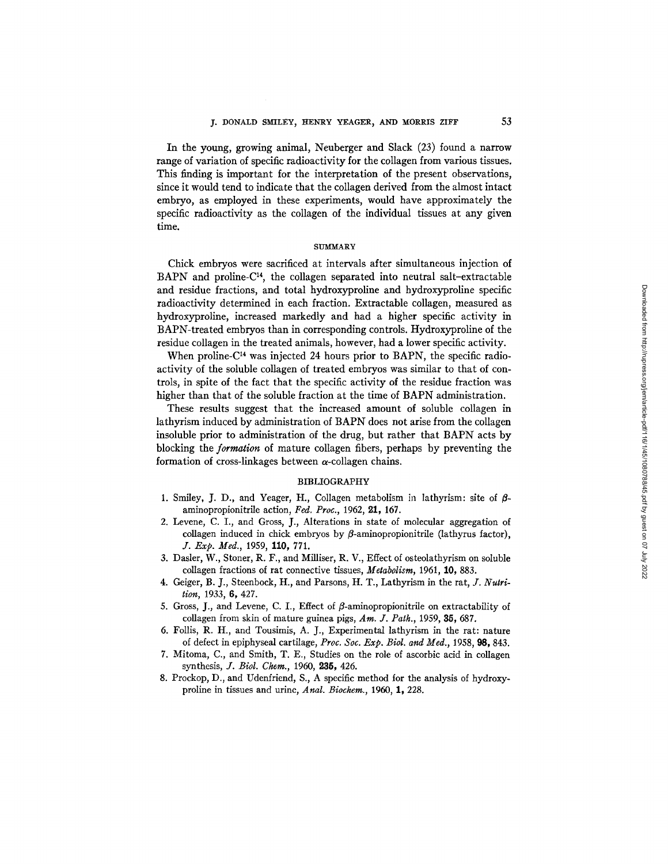In the young, growing animal, Neuberger and Slack (23) found a narrow range of variation of specific radioactivity for the collagen from various tissues. This finding is important for the interpretation of the present observations, since it would tend to indicate that the collagen derived from the almost intact embryo, as employed in these experiments, would have approximately the specific radioactivity as the collagen of the individual tissues at any given time.

### SITMMARY

Chick embryos were sacrificed at intervals after simultaneous injection of BAPN and proline- $C<sup>14</sup>$ , the collagen separated into neutral salt-extractable and residue fractions, and total hydroxyproline and hydroxyproline specific radioactivity determined in each fraction. Extractable collagen, measured as hydroxyproline, increased markedly and had a higher specific activity in BAPN-treated embryos than in corresponding controls. Hydroxyproline of the residue collagen in the treated animals, however, had a lower specific activity.

When proline- $C<sup>14</sup>$  was injected 24 hours prior to BAPN, the specific radioactivity of the soluble collagen of treated embryos was similar to that of controis, in spite of the fact that the specific activity of the residue fraction was higher than that of the soluble fraction at the time of BAPN administration.

These results suggest that the increased amount of soluble collagen in lathyrism induced by administration of BAPN does not arise from the collagen insoluble prior to administration of the drug, but rather that BAPN acts by blocking the *formation* of mature collagen fibers, perhaps by preventing the formation of cross-linkages between  $\alpha$ -collagen chains.

### BIBLIOGRAPHY

- 1. Smiley, J. D., and Yeager, H., Collagen metabolism in lathyrism: site of  $\beta$ aminopropionitrile action, Fed. Proc., 1962, 21, 167.
- 2. Levene, C. I., and Gross, J., Alterations in state of molecular aggregation of collagen induced in chick embryos by  $\beta$ -aminopropionitrile (lathyrus factor), *J. Exp. Med.,* 1959, 110, 771.
- 3. Dasler, W., Stoner, R. F., and Milliser, R. V., Effect of osteolathyrism on soluble collagen fractions of rat connective tissues, *Metabolism,* 1961, 10, 883.
- 4. Geiger, B. J., Steenbock, H., and Parsons, H. T., Lathyrism in the rat, *J. Nutrition,* 1933, 6, 427.
- 5. Gross, J., and Levene, C. I., Effect of  $\beta$ -aminopropionitrile on extractability of collagen from skin of mature guinea pigs, Am. J. Path., 1959, 35, 687.
- 6. Follis, R. H., and Tousimis, A. J., Experimental lathyrism in the rat: nature of defect in epiphyseal cartilage, *Proc. Soc. Exp. Biol. and Med.,* 1958, 98, 843.
- 7. Mitoma, C., and Smith, T. E., Studies on the role of ascorbic acid in collagen synthesis, *J. Biol. Chem.*, 1960, 235, 426.
- 8. Prockop, *D.,* and Udenfriend, S., A specific method for the analysis of hydroxyproline in tissues and urine, *Anal. Biochem.*, 1960, 1, 228.